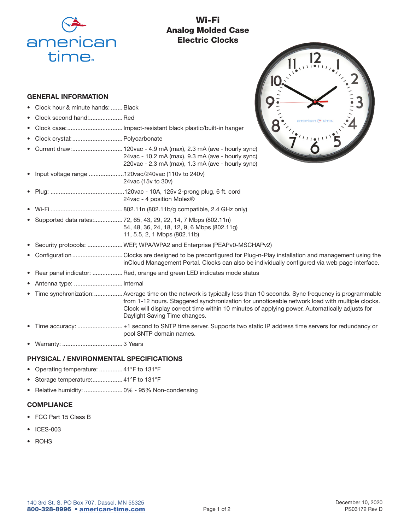

# Wi-Fi Analog Molded Case Electric Clocks

# GENERAL INFORMATION

- Clock hour & minute hands: ....... Black
- Clock second hand:.................... Red
- Clock case: ................................. Impact-resistant black plastic/built-in hanger
- Clock crystal: ..............................Polycarbonate
- Current draw: .............................. 120vac 4.9 mA (max), 2.3 mA (ave hourly sync) 24vac - 10.2 mA (max), 9.3 mA (ave - hourly sync) 220vac - 2.3 mA (max), 1.3 mA (ave - hourly sync)
- Input voltage range .....................120vac/240vac (110v to 240v) 24vac (15v to 30v)
- Plug: ............................................120vac 10A, 125v 2-prong plug, 6 ft. cord 24vac - 4 position Molex®
- Wi-Fi ........................................... 802.11n (802.11b/g compatible, 2.4 GHz only)
- Supported data rates: ................. 72, 65, 43, 29, 22, 14, 7 Mbps (802.11n) 54, 48, 36, 24, 18, 12, 9, 6 Mbps (802.11g) 11, 5.5, 2, 1 Mbps (802.11b)
- Security protocols: .....................WEP, WPA/WPA2 and Enterprise (PEAPv0-MSCHAPv2)
- Configuration .............................. Clocks are designed to be preconfigured for Plug-n-Play installation and management using the inCloud Management Portal. Clocks can also be individually configured via web page interface.
- Rear panel indicator: .................. Red, orange and green LED indicates mode status
- Antenna type: ............................. Internal
- Time synchronization: .................Average time on the network is typically less than 10 seconds. Sync frequency is programmable from 1-12 hours. Staggered synchronization for unnoticeable network load with multiple clocks. Clock will display correct time within 10 minutes of applying power. Automatically adjusts for Daylight Saving Time changes.
- Time accuracy: ........................... ±1 second to SNTP time server. Supports two static IP address time servers for redundancy or pool SNTP domain names.
- Warranty: .................................... 3 Years

### PHYSICAL / ENVIRONMENTAL SPECIFICATIONS

- Operating temperature: .............. 41°F to 131°F
- Storage temperature:.................. 41°F to 131°F
- Relative humidity: ....................... 0% 95% Non-condensing

# **COMPLIANCE**

- FCC Part 15 Class B
- ICES-003
- ROHS